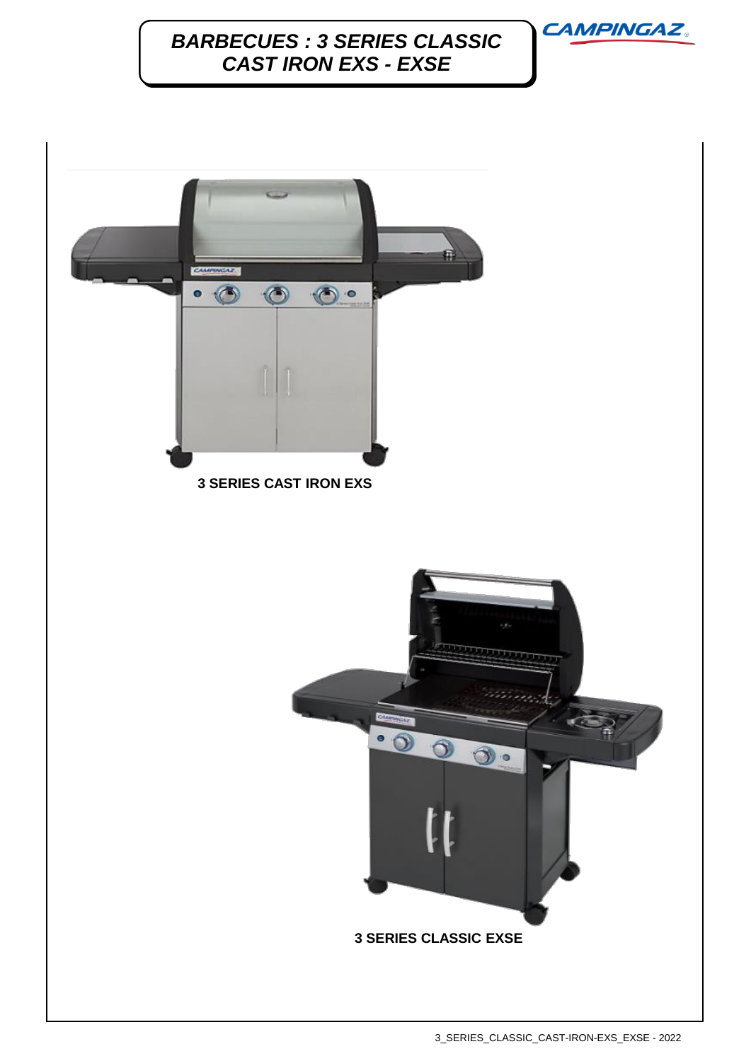**CAMPINGAZ.** 

# *BARBECUES : 3 SERIES CLASSIC CAST IRON EXS - EXSE*

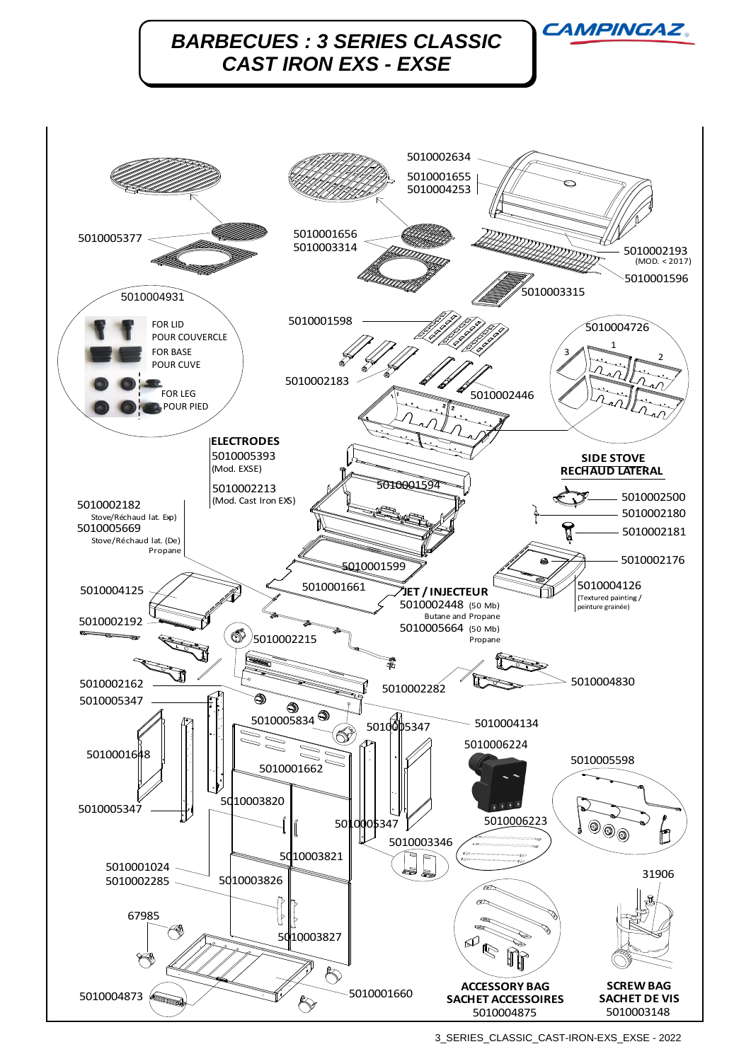

<sup>3</sup>\_SERIES\_CLASSIC\_CAST-IRON-EXS\_EXSE - 2022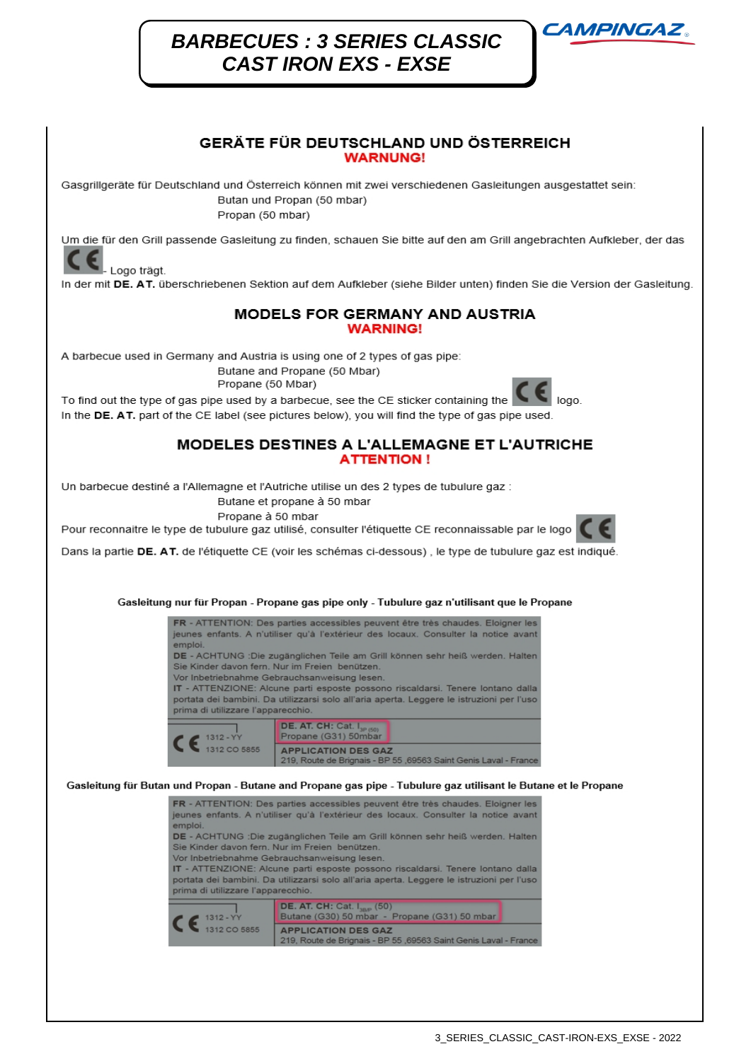## **BARBECUES: 3 SERIES CLASSIC CAST IRON EXS - EXSE**



### GERÄTE FÜR DEUTSCHLAND UND ÖSTERREICH **WARNUNG!**

Gasgrillgeräte für Deutschland und Österreich können mit zwei verschiedenen Gasleitungen ausgestattet sein: Butan und Propan (50 mbar) Propan (50 mbar)

Um die für den Grill passende Gasleitung zu finden, schauen Sie bitte auf den am Grill angebrachten Aufkleber, der das

Logo trägt.

In der mit DE. AT. überschriebenen Sektion auf dem Aufkleber (siehe Bilder unten) finden Sie die Version der Gasleitung.

#### MODELS FOR GERMANY AND AUSTRIA **WARNING!**

A barbecue used in Germany and Austria is using one of 2 types of gas pipe: Butane and Propane (50 Mbar)

Propane (50 Mbar)



To find out the type of gas pipe used by a barbecue, see the CE sticker containing the  $000$ In the DE. AT. part of the CE label (see pictures below), you will find the type of gas pipe used.

#### MODELES DESTINES A L'ALLEMAGNE ET L'AUTRICHE **ATTENTION!**

Un barbecue destiné a l'Allemagne et l'Autriche utilise un des 2 types de tubulure gaz :

Butane et propane à 50 mbar

Propane à 50 mbar Pour reconnaitre le type de tubulure gaz utilisé, consulter l'étiquette CE reconnaissable par le logo



Dans la partie DE. AT. de l'étiquette CE (voir les schémas ci-dessous), le type de tubulure gaz est indiqué.

Gasleitung nur für Propan - Propane gas pipe only - Tubulure gaz n'utilisant que le Propane



Gasleitung für Butan und Propan - Butane and Propane gas pipe - Tubulure gaz utilisant le Butane et le Propane

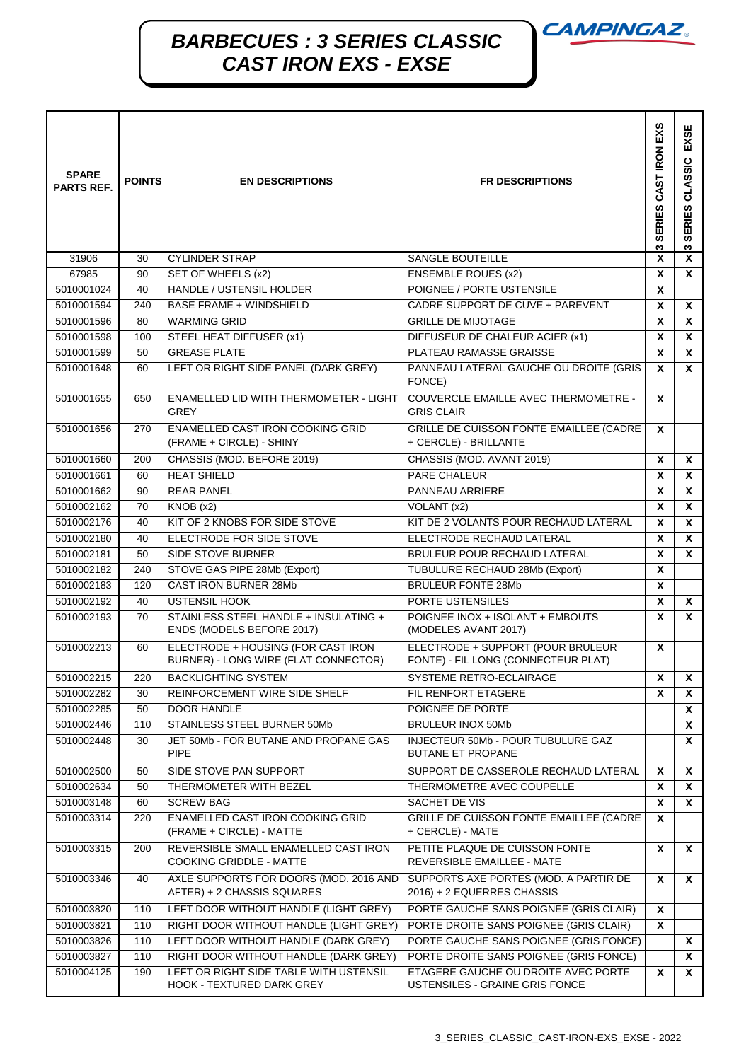**CAMPINGAZ.** 

# *BARBECUES : 3 SERIES CLASSIC CAST IRON EXS - EXSE*

| <b>SPARE</b><br><b>PARTS REF.</b> | <b>POINTS</b> | <b>EN DESCRIPTIONS</b>                                                     | <b>FR DESCRIPTIONS</b>                                                   | SERIES CAST IRON EXS<br>S | EXSE<br>CLASSIC<br><b>SERIES</b><br>S |
|-----------------------------------|---------------|----------------------------------------------------------------------------|--------------------------------------------------------------------------|---------------------------|---------------------------------------|
| 31906                             | 30            | <b>CYLINDER STRAP</b>                                                      | SANGLE BOUTEILLE                                                         | X                         | X                                     |
| 67985                             | 90            | SET OF WHEELS (x2)                                                         | <b>ENSEMBLE ROUES (x2)</b>                                               | X                         | X                                     |
| 5010001024                        | 40            | HANDLE / USTENSIL HOLDER                                                   | POIGNEE / PORTE USTENSILE                                                | X                         |                                       |
| 5010001594                        | 240           | <b>BASE FRAME + WINDSHIELD</b>                                             | CADRE SUPPORT DE CUVE + PAREVENT                                         | X                         | X                                     |
| 5010001596                        | 80            | <b>WARMING GRID</b>                                                        | <b>GRILLE DE MIJOTAGE</b>                                                | X                         | X                                     |
| 5010001598                        | 100           | STEEL HEAT DIFFUSER (x1)                                                   | DIFFUSEUR DE CHALEUR ACIER (x1)                                          | X                         | X                                     |
| 5010001599                        | 50            | <b>GREASE PLATE</b>                                                        | PLATEAU RAMASSE GRAISSE                                                  | X                         | X                                     |
| 5010001648                        | 60            | LEFT OR RIGHT SIDE PANEL (DARK GREY)                                       | PANNEAU LATERAL GAUCHE OU DROITE (GRIS<br>FONCE)                         | X                         | <b>X</b>                              |
| 5010001655                        | 650           | <b>ENAMELLED LID WITH THERMOMETER - LIGHT</b><br><b>GREY</b>               | COUVERCLE EMAILLE AVEC THERMOMETRE -<br><b>GRIS CLAIR</b>                | X                         |                                       |
| 5010001656                        | 270           | ENAMELLED CAST IRON COOKING GRID<br>(FRAME + CIRCLE) - SHINY               | GRILLE DE CUISSON FONTE EMAILLEE (CADRE<br>+ CERCLE) - BRILLANTE         | X                         |                                       |
| 5010001660                        | 200           | CHASSIS (MOD. BEFORE 2019)                                                 | CHASSIS (MOD. AVANT 2019)                                                | X                         | X                                     |
| 5010001661                        | 60            | <b>HEAT SHIELD</b>                                                         | <b>PARE CHALEUR</b>                                                      | X                         | X                                     |
| 5010001662                        | 90            | <b>REAR PANEL</b>                                                          | PANNEAU ARRIERE                                                          | X                         | X                                     |
| 5010002162                        | 70            | KNOB (x2)                                                                  | VOLANT (x2)                                                              | X                         | X                                     |
| 5010002176                        | 40            | KIT OF 2 KNOBS FOR SIDE STOVE                                              | KIT DE 2 VOLANTS POUR RECHAUD LATERAL                                    | X                         | X                                     |
| 5010002180                        | 40            | ELECTRODE FOR SIDE STOVE                                                   | ELECTRODE RECHAUD LATERAL                                                | X                         | X                                     |
| 5010002181                        | 50            | SIDE STOVE BURNER                                                          | BRULEUR POUR RECHAUD LATERAL                                             | X                         | X                                     |
| 5010002182                        | 240           | STOVE GAS PIPE 28Mb (Export)                                               | TUBULURE RECHAUD 28Mb (Export)                                           | X                         |                                       |
| 5010002183                        | 120           | CAST IRON BURNER 28Mb                                                      | <b>BRULEUR FONTE 28Mb</b>                                                | X                         |                                       |
| 5010002192                        | 40            | <b>USTENSIL HOOK</b>                                                       | PORTE USTENSILES                                                         | $\boldsymbol{\mathsf{x}}$ | X                                     |
| 5010002193                        | 70            | STAINLESS STEEL HANDLE + INSULATING +<br>ENDS (MODELS BEFORE 2017)         | POIGNEE INOX + ISOLANT + EMBOUTS<br>(MODELES AVANT 2017)                 | $\pmb{\chi}$              | X                                     |
| 5010002213                        | 60            | ELECTRODE + HOUSING (FOR CAST IRON<br>BURNER) - LONG WIRE (FLAT CONNECTOR) | ELECTRODE + SUPPORT (POUR BRULEUR<br>FONTE) - FIL LONG (CONNECTEUR PLAT) | X                         |                                       |
| 5010002215                        | 220           | <b>BACKLIGHTING SYSTEM</b>                                                 | SYSTEME RETRO-ECLAIRAGE                                                  | x                         | X                                     |
| 5010002282                        | 30            | REINFORCEMENT WIRE SIDE SHELF                                              | FIL RENFORT ETAGERE                                                      | X                         | x                                     |
| 5010002285                        | 50            | DOOR HANDLE                                                                | POIGNEE DE PORTE                                                         |                           | x                                     |
| 5010002446                        | 110           | STAINLESS STEEL BURNER 50Mb                                                | <b>BRULEUR INOX 50Mb</b>                                                 |                           | X                                     |
| 5010002448                        | 30            | JET 50Mb - FOR BUTANE AND PROPANE GAS<br><b>PIPE</b>                       | INJECTEUR 50Mb - POUR TUBULURE GAZ<br><b>BUTANE ET PROPANE</b>           |                           | X                                     |
| 5010002500                        | 50            | SIDE STOVE PAN SUPPORT                                                     | SUPPORT DE CASSEROLE RECHAUD LATERAL                                     | X                         | x                                     |
| 5010002634                        | 50            | THERMOMETER WITH BEZEL                                                     | THERMOMETRE AVEC COUPELLE                                                | X                         | X                                     |
| 5010003148                        | 60            | <b>SCREW BAG</b>                                                           | SACHET DE VIS                                                            | X                         | <b>X</b>                              |
| 5010003314                        | 220           | ENAMELLED CAST IRON COOKING GRID<br>(FRAME + CIRCLE) - MATTE               | GRILLE DE CUISSON FONTE EMAILLEE (CADRE<br>+ CERCLE) - MATE              | X                         |                                       |
| 5010003315                        | 200           | REVERSIBLE SMALL ENAMELLED CAST IRON<br>COOKING GRIDDLE - MATTE            | PETITE PLAQUE DE CUISSON FONTE<br>REVERSIBLE EMAILLEE - MATE             | X                         | x                                     |
| 5010003346                        | 40            | AXLE SUPPORTS FOR DOORS (MOD. 2016 AND<br>AFTER) + 2 CHASSIS SQUARES       | SUPPORTS AXE PORTES (MOD. A PARTIR DE<br>2016) + 2 EQUERRES CHASSIS      | X                         | <b>X</b>                              |
| 5010003820                        | 110           | LEFT DOOR WITHOUT HANDLE (LIGHT GREY)                                      | PORTE GAUCHE SANS POIGNEE (GRIS CLAIR)                                   | X                         |                                       |
| 5010003821                        | 110           | RIGHT DOOR WITHOUT HANDLE (LIGHT GREY)                                     | PORTE DROITE SANS POIGNEE (GRIS CLAIR)                                   | X                         |                                       |
| 5010003826                        | 110           | LEFT DOOR WITHOUT HANDLE (DARK GREY)                                       | PORTE GAUCHE SANS POIGNEE (GRIS FONCE)                                   |                           | x                                     |
| 5010003827                        | 110           | RIGHT DOOR WITHOUT HANDLE (DARK GREY)                                      | PORTE DROITE SANS POIGNEE (GRIS FONCE)                                   |                           | X                                     |
| 5010004125                        | 190           | LEFT OR RIGHT SIDE TABLE WITH USTENSIL<br>HOOK - TEXTURED DARK GREY        | ETAGERE GAUCHE OU DROITE AVEC PORTE<br>USTENSILES - GRAINE GRIS FONCE    | X                         | X.                                    |